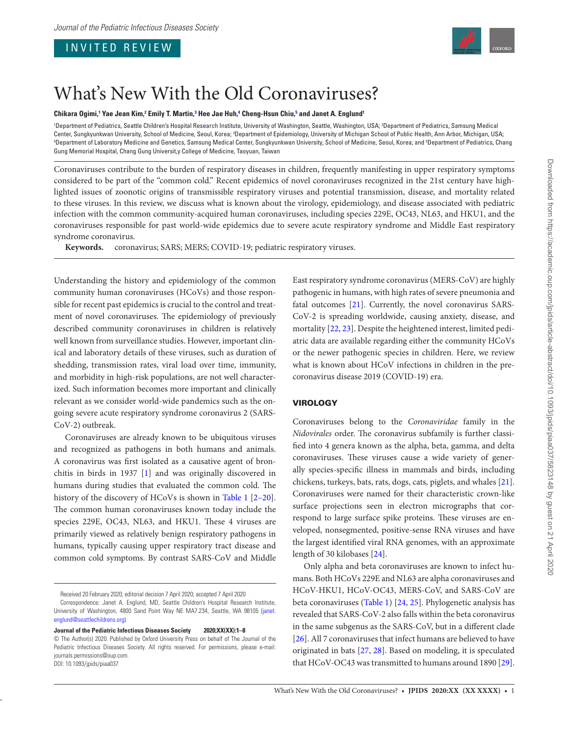# INVITED REVIEW

<span id="page-0-1"></span>

# What's New With the Old Coronaviruses?

**Chikara Ogimi, [1](#page-0-0) Yae Jean Kim, [2](#page-0-1) Emily T. Martin, [3](#page-0-2) Hee Jae Huh, [4](#page-0-3) Cheng-Hsun Chiu, [5](#page-0-4) and Janet A. Englun[d1](#page-0-0)**

<span id="page-0-4"></span><span id="page-0-3"></span><span id="page-0-2"></span><span id="page-0-0"></span><sup>1</sup>Department of Pediatrics, Seattle Children's Hospital Research Institute, University of Washington, Seattle, Washington, USA; <sup>2</sup>Department of Pediatrics, Samsung Medical Center, Sungkyunkwan University, School of Medicine, Seoul, Korea; <sup>3</sup>Department of Epidemiology, University of Michigan School of Public Health, Ann Arbor, Michigan, USA;<br>"Department of Laboratory Medicine and Genetics, S Department of Laboratory Medicine and Genetics, Samsung Medical Center, Sungkyunkwan University, School of Medicine, Seoul, Korea; and <sup>s</sup>Department of Pediatrics, Chang Gung Memorial Hospital, Chang Gung Universit,y College of Medicine, Taoyuan, Taiwan

Coronaviruses contribute to the burden of respiratory diseases in children, frequently manifesting in upper respiratory symptoms considered to be part of the "common cold." Recent epidemics of novel coronaviruses recognized in the 21st century have highlighted issues of zoonotic origins of transmissible respiratory viruses and potential transmission, disease, and mortality related to these viruses. In this review, we discuss what is known about the virology, epidemiology, and disease associated with pediatric infection with the common community-acquired human coronaviruses, including species 229E, OC43, NL63, and HKU1, and the coronaviruses responsible for past world-wide epidemics due to severe acute respiratory syndrome and Middle East respiratory syndrome coronavirus.

**Keywords.** coronavirus; SARS; MERS; COVID-19; pediatric respiratory viruses.

Understanding the history and epidemiology of the common community human coronaviruses (HCoVs) and those responsible for recent past epidemics is crucial to the control and treatment of novel coronaviruses. The epidemiology of previously described community coronaviruses in children is relatively well known from surveillance studies. However, important clinical and laboratory details of these viruses, such as duration of shedding, transmission rates, viral load over time, immunity, and morbidity in high-risk populations, are not well characterized. Such information becomes more important and clinically relevant as we consider world-wide pandemics such as the ongoing severe acute respiratory syndrome coronavirus 2 (SARS-CoV-2) outbreak.

Coronaviruses are already known to be ubiquitous viruses and recognized as pathogens in both humans and animals. A coronavirus was first isolated as a causative agent of bronchitis in birds in 1937 [\[1\]](#page-6-0) and was originally discovered in humans during studies that evaluated the common cold. The history of the discovery of HCoVs is shown in [Table 1](#page-1-0) [2–20]. The common human coronaviruses known today include the species 229E, OC43, NL63, and HKU1. These 4 viruses are primarily viewed as relatively benign respiratory pathogens in humans, typically causing upper respiratory tract disease and common cold symptoms. By contrast SARS-CoV and Middle

Correspondence: Janet A. Englund, MD, Seattle Children's Hospital Research Institute, University of Washington, 4800 Sand Point Way NE MA7.234, Seattle, WA 98105 ([janet.](mailto:janet.englund@seattlechildrens.org?subject=) [englund@seattlechildrens.org\)](mailto:janet.englund@seattlechildrens.org?subject=).

**Journal of the Pediatric Infectious Diseases Society 2020;XX(XX):1–8**

East respiratory syndrome coronavirus (MERS-CoV) are highly pathogenic in humans, with high rates of severe pneumonia and fatal outcomes [\[21](#page-6-1)]. Currently, the novel coronavirus SARS-CoV-2 is spreading worldwide, causing anxiety, disease, and mortality [\[22,](#page-6-2) [23\]](#page-6-3). Despite the heightened interest, limited pediatric data are available regarding either the community HCoVs or the newer pathogenic species in children. Here, we review what is known about HCoV infections in children in the precoronavirus disease 2019 (COVID-19) era.

# VIROLOGY

Coronaviruses belong to the *Coronaviridae* family in the *Nidovirales* order. The coronavirus subfamily is further classified into 4 genera known as the alpha, beta, gamma, and delta coronaviruses. These viruses cause a wide variety of generally species-specific illness in mammals and birds, including chickens, turkeys, bats, rats, dogs, cats, piglets, and whales [\[21\]](#page-6-1). Coronaviruses were named for their characteristic crown-like surface projections seen in electron micrographs that correspond to large surface spike proteins. These viruses are enveloped, nonsegmented, positive-sense RNA viruses and have the largest identified viral RNA genomes, with an approximate length of 30 kilobases [\[24](#page-6-4)].

Only alpha and beta coronaviruses are known to infect humans. Both HCoVs 229E and NL63 are alpha coronaviruses and HCoV-HKU1, HCoV-OC43, MERS-CoV, and SARS-CoV are beta coronaviruses ([Table 1\)](#page-1-0) [[24,](#page-6-4) [25](#page-6-5)]. Phylogenetic analysis has revealed that SARS-CoV-2 also falls within the beta coronavirus in the same subgenus as the SARS-CoV, but in a different clade [\[26](#page-6-6)]. All 7 coronaviruses that infect humans are believed to have originated in bats [[27](#page-6-7), [28\]](#page-6-8). Based on modeling, it is speculated that HCoV-OC43 was transmitted to humans around 1890 [\[29\]](#page-6-9).

Received 20 February 2020; editorial decision 7 April 2020; accepted 7 April 2020

<sup>©</sup> The Author(s) 2020. Published by Oxford University Press on behalf of The Journal of the Pediatric Infectious Diseases Society. All rights reserved. For permissions, please e-mail: journals.permissions@oup.com. DOI: 10.1093/jpids/piaa037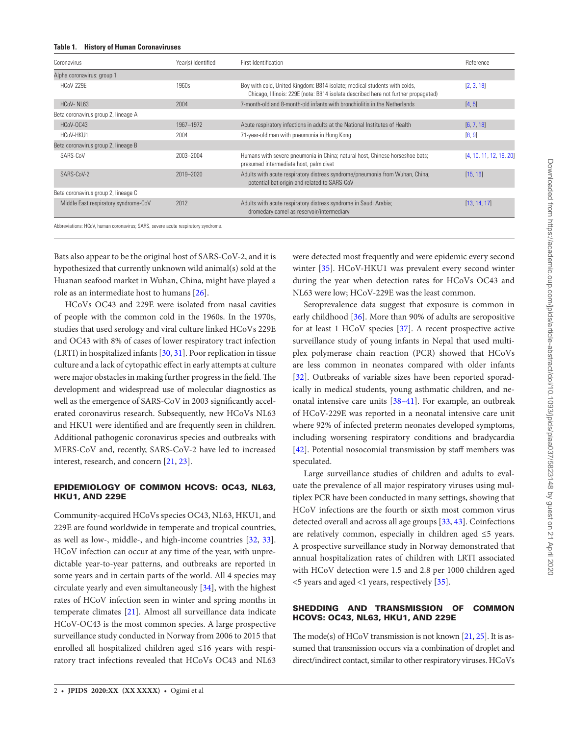<span id="page-1-0"></span>

| Coronavirus                                                                      | Year(s) Identified | First Identification                                                                                                                                            | Reference               |
|----------------------------------------------------------------------------------|--------------------|-----------------------------------------------------------------------------------------------------------------------------------------------------------------|-------------------------|
| Alpha coronavirus: group 1                                                       |                    |                                                                                                                                                                 |                         |
| HCoV-229E                                                                        | 1960s              | Boy with cold, United Kingdom: B814 isolate; medical students with colds,<br>Chicago, Illinois: 229E (note: B814 isolate described here not further propagated) | [2, 3, 18]              |
| HCoV-NL63                                                                        | 2004               | 7-month-old and 8-month-old infants with bronchiolitis in the Netherlands                                                                                       | [4, 5]                  |
| Beta coronavirus group 2, lineage A                                              |                    |                                                                                                                                                                 |                         |
| HCoV-OC43                                                                        | 1967-1972          | Acute respiratory infections in adults at the National Institutes of Health                                                                                     | [6, 7, 18]              |
| HCoV-HKU1                                                                        | 2004               | 71-year-old man with pneumonia in Hong Kong                                                                                                                     | [8, 9]                  |
| Beta coronavirus group 2, lineage B                                              |                    |                                                                                                                                                                 |                         |
| SARS-CoV                                                                         | 2003-2004          | Humans with severe pneumonia in China; natural host, Chinese horseshoe bats;<br>presumed intermediate host, palm civet                                          | [4, 10, 11, 12, 19, 20] |
| SARS-CoV-2                                                                       | 2019-2020          | Adults with acute respiratory distress syndrome/pneumonia from Wuhan, China;<br>potential bat origin and related to SARS-CoV                                    | [15, 16]                |
| Beta coronavirus group 2, lineage C                                              |                    |                                                                                                                                                                 |                         |
| Middle East respiratory syndrome-CoV                                             | 2012               | Adults with acute respiratory distress syndrome in Saudi Arabia;<br>dromedary camel as reservoir/intermediary                                                   | [13, 14, 17]            |
| Abbreviations: HCoV, human coronavirus; SARS, severe acute respiratory syndrome. |                    |                                                                                                                                                                 |                         |

Bats also appear to be the original host of SARS-CoV-2, and it is hypothesized that currently unknown wild animal(s) sold at the Huanan seafood market in Wuhan, China, might have played a role as an intermediate host to humans [\[26\]](#page-6-6).

HCoVs OC43 and 229E were isolated from nasal cavities of people with the common cold in the 1960s. In the 1970s, studies that used serology and viral culture linked HCoVs 229E and OC43 with 8% of cases of lower respiratory tract infection (LRTI) in hospitalized infants [\[30](#page-6-10), [31](#page-6-11)]. Poor replication in tissue culture and a lack of cytopathic effect in early attempts at culture were major obstacles in making further progress in the field. The development and widespread use of molecular diagnostics as well as the emergence of SARS-CoV in 2003 significantly accelerated coronavirus research. Subsequently, new HCoVs NL63 and HKU1 were identified and are frequently seen in children. Additional pathogenic coronavirus species and outbreaks with MERS-CoV and, recently, SARS-CoV-2 have led to increased interest, research, and concern [\[21](#page-6-1), [23\]](#page-6-3).

# EPIDEMIOLOGY OF COMMON HCOVS: OC43, NL63, HKU1, AND 229E

Community-acquired HCoVs species OC43, NL63, HKU1, and 229E are found worldwide in temperate and tropical countries, as well as low-, middle-, and high-income countries [[32](#page-6-12), [33\]](#page-6-13). HCoV infection can occur at any time of the year, with unpredictable year-to-year patterns, and outbreaks are reported in some years and in certain parts of the world. All 4 species may circulate yearly and even simultaneously [\[34](#page-6-14)], with the highest rates of HCoV infection seen in winter and spring months in temperate climates [[21](#page-6-1)]. Almost all surveillance data indicate HCoV-OC43 is the most common species. A large prospective surveillance study conducted in Norway from 2006 to 2015 that enrolled all hospitalized children aged ≤16 years with respiratory tract infections revealed that HCoVs OC43 and NL63 were detected most frequently and were epidemic every second winter [[35](#page-6-15)]. HCoV-HKU1 was prevalent every second winter during the year when detection rates for HCoVs OC43 and NL63 were low; HCoV-229E was the least common.

Seroprevalence data suggest that exposure is common in early childhood [[36\]](#page-6-16). More than 90% of adults are seropositive for at least 1 HCoV species [\[37](#page-6-17)]. A recent prospective active surveillance study of young infants in Nepal that used multiplex polymerase chain reaction (PCR) showed that HCoVs are less common in neonates compared with older infants [\[32](#page-6-12)]. Outbreaks of variable sizes have been reported sporadically in medical students, young asthmatic children, and neonatal intensive care units [38–41]. For example, an outbreak of HCoV-229E was reported in a neonatal intensive care unit where 92% of infected preterm neonates developed symptoms, including worsening respiratory conditions and bradycardia [\[42](#page-6-18)]. Potential nosocomial transmission by staff members was speculated.

Large surveillance studies of children and adults to evaluate the prevalence of all major respiratory viruses using multiplex PCR have been conducted in many settings, showing that HCoV infections are the fourth or sixth most common virus detected overall and across all age groups [\[33,](#page-6-13) [43\]](#page-6-19). Coinfections are relatively common, especially in children aged  $\leq$ 5 years. A prospective surveillance study in Norway demonstrated that annual hospitalization rates of children with LRTI associated with HCoV detection were 1.5 and 2.8 per 1000 children aged <5 years and aged <1 years, respectively [\[35\]](#page-6-15).

# SHEDDING AND TRANSMISSION OF COMMON HCOVS: OC43, NL63, HKU1, AND 229E

The mode(s) of HCoV transmission is not known [\[21,](#page-6-1) [25](#page-6-5)]. It is assumed that transmission occurs via a combination of droplet and direct/indirect contact, similar to other respiratory viruses. HCoVs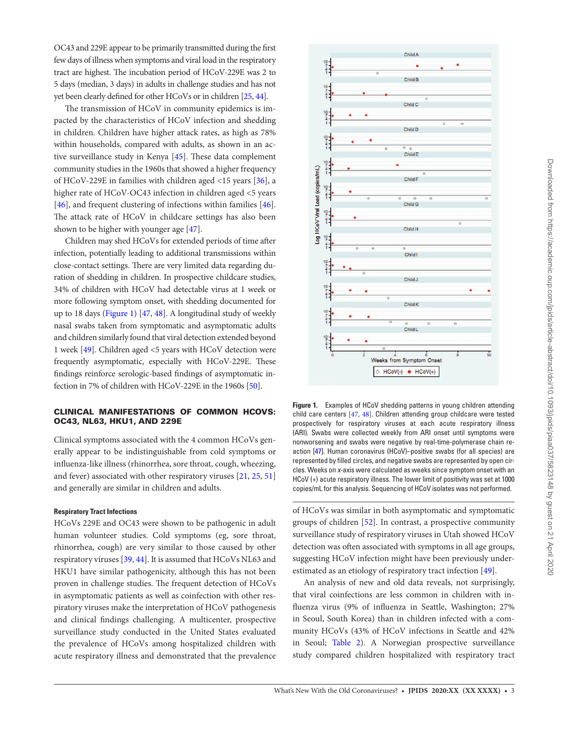OC43 and 229E appear to be primarily transmitted during the first few days of illness when symptoms and viral load in the respiratory tract are highest. The incubation period of HCoV-229E was 2 to 5 days (median, 3 days) in adults in challenge studies and has not yet been clearly defined for other HCoVs or in children [\[25](#page-6-5), [44\]](#page-6-39).

The transmission of HCoV in community epidemics is impacted by the characteristics of HCoV infection and shedding in children. Children have higher attack rates, as high as 78% within households, compared with adults, as shown in an active surveillance study in Kenya [[45](#page-6-40)]. These data complement community studies in the 1960s that showed a higher frequency of HCoV-229E in families with children aged <15 years [[36\]](#page-6-16), a higher rate of HCoV-OC43 infection in children aged <5 years [\[46](#page-7-0)], and frequent clustering of infections within families [\[46\]](#page-7-0). The attack rate of HCoV in childcare settings has also been shown to be higher with younger age [\[47](#page-7-1)].

Children may shed HCoVs for extended periods of time after infection, potentially leading to additional transmissions within close-contact settings. There are very limited data regarding duration of shedding in children. In prospective childcare studies, 34% of children with HCoV had detectable virus at 1 week or more following symptom onset, with shedding documented for up to 18 days [\(Figure 1](#page-2-0)) [[47,](#page-7-1) [48](#page-7-2)]. A longitudinal study of weekly nasal swabs taken from symptomatic and asymptomatic adults and children similarly found that viral detection extended beyond 1 week [[49\]](#page-7-3). Children aged <5 years with HCoV detection were frequently asymptomatic, especially with HCoV-229E. These findings reinforce serologic-based findings of asymptomatic infection in 7% of children with HCoV-229E in the 1960s [\[50](#page-7-4)].

# CLINICAL MANIFESTATIONS OF COMMON HCOVS: OC43, NL63, HKU1, AND 229E

Clinical symptoms associated with the 4 common HCoVs generally appear to be indistinguishable from cold symptoms or influenza-like illness (rhinorrhea, sore throat, cough, wheezing, and fever) associated with other respiratory viruses [[21,](#page-6-1) [25](#page-6-5), [51\]](#page-7-5) and generally are similar in children and adults.

### **Respiratory Tract Infections**

HCoVs 229E and OC43 were shown to be pathogenic in adult human volunteer studies. Cold symptoms (eg, sore throat, rhinorrhea, cough) are very similar to those caused by other respiratory viruses [\[39](#page-6-41), [44](#page-6-39)]. It is assumed that HCoVs NL63 and HKU1 have similar pathogenicity, although this has not been proven in challenge studies. The frequent detection of HCoVs in asymptomatic patients as well as coinfection with other respiratory viruses make the interpretation of HCoV pathogenesis and clinical findings challenging. A multicenter, prospective surveillance study conducted in the United States evaluated the prevalence of HCoVs among hospitalized children with acute respiratory illness and demonstrated that the prevalence



<span id="page-2-0"></span>**Figure 1.** Examples of HCoV shedding patterns in young children attending child care centers [[47](#page-7-1), [48](#page-7-2)]. Children attending group childcare were tested prospectively for respiratory viruses at each acute respiratory illness (ARI). Swabs were collected weekly from ARI onset until symptoms were nonworsening and swabs were negative by real-time-polymerase chain reaction [\[47\]](#page-7-1). Human coronavirus (HCoV)–positive swabs (for all species) are represented by filled circles, and negative swabs are represented by open circles. Weeks on *x*-axis were calculated as weeks since symptom onset with an HCoV (+) acute respiratory illness. The lower limit of positivity was set at 1000 copies/mL for this analysis. Sequencing of HCoV isolates was not performed.

of HCoVs was similar in both asymptomatic and symptomatic groups of children [\[52](#page-7-6)]. In contrast, a prospective community surveillance study of respiratory viruses in Utah showed HCoV detection was often associated with symptoms in all age groups, suggesting HCoV infection might have been previously underestimated as an etiology of respiratory tract infection [\[49\]](#page-7-3).

An analysis of new and old data reveals, not surprisingly, that viral coinfections are less common in children with influenza virus (9% of influenza in Seattle, Washington; 27% in Seoul, South Korea) than in children infected with a community HCoVs (43% of HCoV infections in Seattle and 42% in Seoul; [Table 2\)](#page-3-0). A Norwegian prospective surveillance study compared children hospitalized with respiratory tract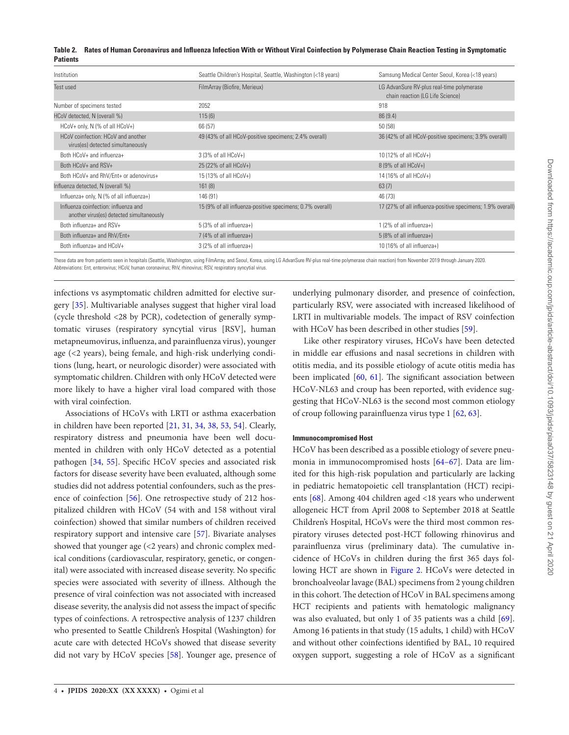<span id="page-3-0"></span>

|                 | Table 2. Rates of Human Coronavirus and Influenza Infection With or Without Viral Coinfection by Polymerase Chain Reaction Testing in Symptomatic |
|-----------------|---------------------------------------------------------------------------------------------------------------------------------------------------|
| <b>Patients</b> |                                                                                                                                                   |

| Institution                                                                       | Seattle Children's Hospital, Seattle, Washington (<18 years) | Samsung Medical Center Seoul, Korea (<18 years)                               |
|-----------------------------------------------------------------------------------|--------------------------------------------------------------|-------------------------------------------------------------------------------|
| Test used                                                                         | FilmArray (Biofire, Merieux)                                 | LG AdvanSure RV-plus real-time polymerase<br>chain reaction (LG Life Science) |
| Number of specimens tested                                                        | 2052                                                         | 918                                                                           |
| HCoV detected, N (overall %)                                                      | 115(6)                                                       | 86(9.4)                                                                       |
| HCoV+ only, N (% of all HCoV+)                                                    | 66 (57)                                                      | 50(58)                                                                        |
| HCoV coinfection: HCoV and another<br>virus(es) detected simultaneously           | 49 (43% of all HCoV-positive specimens; 2.4% overall)        | 36 (42% of all HCoV-positive specimens; 3.9% overall)                         |
| Both HCoV+ and influenza+                                                         | 3 (3% of all HCoV+)                                          | 10 (12% of all HCoV+)                                                         |
| Both HCoV+ and RSV+                                                               | 25 (22% of all HCoV+)                                        | 8 (9% of all HCoV+)                                                           |
| Both HCoV+ and RhV/Ent+ or adenovirus+                                            | 15 (13% of all HCoV+)                                        | 14 (16% of all HCoV+)                                                         |
| Influenza detected, N (overall %)                                                 | 161(8)                                                       | 63(7)                                                                         |
| Influenza+ only, N (% of all influenza+)                                          | 146 (91)                                                     | 46 (73)                                                                       |
| Influenza coinfection: influenza and<br>another virus(es) detected simultaneously | 15 (9% of all influenza-positive specimens; 0.7% overall)    | 17 (27% of all influenza-positive specimens; 1.9% overall)                    |
| Both influenza+ and RSV+                                                          | 5 (3% of all influenza+)                                     | $1(2% of all influenza+)$                                                     |
| Both influenza+ and RhV/Ent+                                                      | 7 (4% of all influenza+)                                     | 5 (8% of all influenza+)                                                      |
| Both influenza+ and HCoV+                                                         | 3 (2% of all influenza+)                                     | $10(16\% \text{ of all influenza+})$                                          |

These data are from patients seen in hospitals (Seattle, Washington, using FilmArray, and Seoul, Korea, using LG AdvanSure RV-plus real-time polymerase chain reaction) from November 2019 through January 2020. Abbreviations: Ent, enterovirus; HCoV, human coronavirus; RhV, rhinovirus; RSV, respiratory syncytial virus.

infections vs asymptomatic children admitted for elective surgery [[35\]](#page-6-15). Multivariable analyses suggest that higher viral load (cycle threshold <28 by PCR), codetection of generally symptomatic viruses (respiratory syncytial virus [RSV], human metapneumovirus, influenza, and parainfluenza virus), younger age (<2 years), being female, and high-risk underlying conditions (lung, heart, or neurologic disorder) were associated with symptomatic children. Children with only HCoV detected were more likely to have a higher viral load compared with those with viral coinfection.

Associations of HCoVs with LRTI or asthma exacerbation in children have been reported [[21](#page-6-1), [31,](#page-6-11) [34,](#page-6-14) [38,](#page-6-42) [53,](#page-7-7) [54](#page-7-8)]. Clearly, respiratory distress and pneumonia have been well documented in children with only HCoV detected as a potential pathogen [\[34](#page-6-14), [55\]](#page-7-9). Specific HCoV species and associated risk factors for disease severity have been evaluated, although some studies did not address potential confounders, such as the presence of coinfection [[56\]](#page-7-10). One retrospective study of 212 hospitalized children with HCoV (54 with and 158 without viral coinfection) showed that similar numbers of children received respiratory support and intensive care [[57\]](#page-7-11). Bivariate analyses showed that younger age (<2 years) and chronic complex medical conditions (cardiovascular, respiratory, genetic, or congenital) were associated with increased disease severity. No specific species were associated with severity of illness. Although the presence of viral coinfection was not associated with increased disease severity, the analysis did not assess the impact of specific types of coinfections. A retrospective analysis of 1237 children who presented to Seattle Children's Hospital (Washington) for acute care with detected HCoVs showed that disease severity did not vary by HCoV species [[58](#page-7-12)]. Younger age, presence of underlying pulmonary disorder, and presence of coinfection, particularly RSV, were associated with increased likelihood of LRTI in multivariable models. The impact of RSV coinfection with HCoV has been described in other studies [[59\]](#page-7-13).

Like other respiratory viruses, HCoVs have been detected in middle ear effusions and nasal secretions in children with otitis media, and its possible etiology of acute otitis media has been implicated [\[60,](#page-7-14) [61](#page-7-15)]. The significant association between HCoV-NL63 and croup has been reported, with evidence suggesting that HCoV-NL63 is the second most common etiology of croup following parainfluenza virus type 1 [[62,](#page-7-16) [63](#page-7-17)].

## **Immunocompromised Host**

HCoV has been described as a possible etiology of severe pneumonia in immunocompromised hosts [64–67]. Data are limited for this high-risk population and particularly are lacking in pediatric hematopoietic cell transplantation (HCT) recipients [\[68](#page-7-18)]. Among 404 children aged <18 years who underwent allogeneic HCT from April 2008 to September 2018 at Seattle Children's Hospital, HCoVs were the third most common respiratory viruses detected post-HCT following rhinovirus and parainfluenza virus (preliminary data). The cumulative incidence of HCoVs in children during the first 365 days following HCT are shown in [Figure 2.](#page-4-0) HCoVs were detected in bronchoalveolar lavage (BAL) specimens from 2 young children in this cohort. The detection of HCoV in BAL specimens among HCT recipients and patients with hematologic malignancy was also evaluated, but only 1 of 35 patients was a child [\[69\]](#page-7-19). Among 16 patients in that study (15 adults, 1 child) with HCoV and without other coinfections identified by BAL, 10 required oxygen support, suggesting a role of HCoV as a significant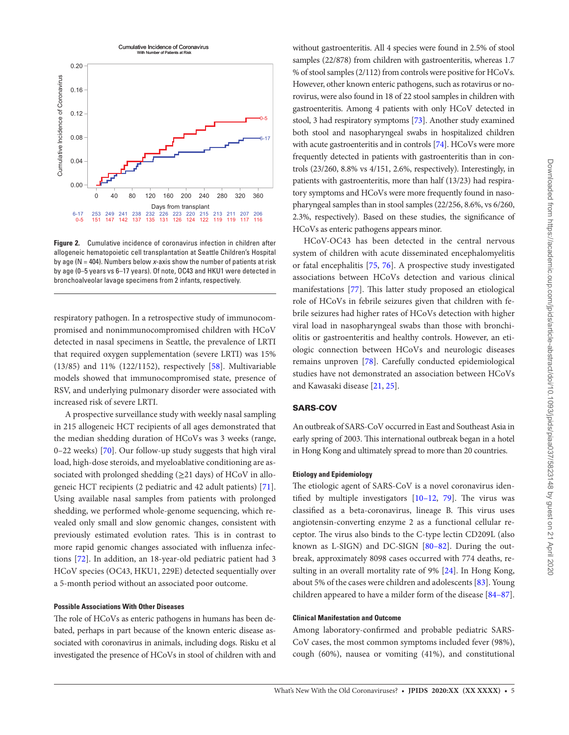

<span id="page-4-0"></span>**Figure 2.** Cumulative incidence of coronavirus infection in children after allogeneic hematopoietic cell transplantation at Seattle Children's Hospital by age (N = 404). Numbers below *x*-axis show the number of patients at risk by age (0–5 years vs 6–17 years). Of note, OC43 and HKU1 were detected in bronchoalveolar lavage specimens from 2 infants, respectively.

respiratory pathogen. In a retrospective study of immunocompromised and nonimmunocompromised children with HCoV detected in nasal specimens in Seattle, the prevalence of LRTI that required oxygen supplementation (severe LRTI) was 15% (13/85) and 11% (122/1152), respectively [[58\]](#page-7-12). Multivariable models showed that immunocompromised state, presence of RSV, and underlying pulmonary disorder were associated with increased risk of severe LRTI.

A prospective surveillance study with weekly nasal sampling in 215 allogeneic HCT recipients of all ages demonstrated that the median shedding duration of HCoVs was 3 weeks (range, 0–22 weeks) [[70](#page-7-20)]. Our follow-up study suggests that high viral load, high-dose steroids, and myeloablative conditioning are associated with prolonged shedding  $(\geq 21 \text{ days})$  of HCoV in allogeneic HCT recipients (2 pediatric and 42 adult patients) [\[71\]](#page-7-21). Using available nasal samples from patients with prolonged shedding, we performed whole-genome sequencing, which revealed only small and slow genomic changes, consistent with previously estimated evolution rates. This is in contrast to more rapid genomic changes associated with influenza infections [\[72](#page-7-22)]. In addition, an 18-year-old pediatric patient had 3 HCoV species (OC43, HKU1, 229E) detected sequentially over a 5-month period without an associated poor outcome.

## **Possible Associations With Other Diseases**

The role of HCoVs as enteric pathogens in humans has been debated, perhaps in part because of the known enteric disease associated with coronavirus in animals, including dogs. Risku et al investigated the presence of HCoVs in stool of children with and

without gastroenteritis. All 4 species were found in 2.5% of stool samples (22/878) from children with gastroenteritis, whereas 1.7 % of stool samples (2/112) from controls were positive for HCoVs. However, other known enteric pathogens, such as rotavirus or norovirus, were also found in 18 of 22 stool samples in children with gastroenteritis. Among 4 patients with only HCoV detected in stool, 3 had respiratory symptoms [[73\]](#page-7-23). Another study examined both stool and nasopharyngeal swabs in hospitalized children with acute gastroenteritis and in controls [\[74\]](#page-7-24). HCoVs were more frequently detected in patients with gastroenteritis than in controls (23/260, 8.8% vs 4/151, 2.6%, respectively). Interestingly, in patients with gastroenteritis, more than half (13/23) had respiratory symptoms and HCoVs were more frequently found in nasopharyngeal samples than in stool samples (22/256, 8.6%, vs 6/260, 2.3%, respectively). Based on these studies, the significance of HCoVs as enteric pathogens appears minor.

HCoV-OC43 has been detected in the central nervous system of children with acute disseminated encephalomyelitis or fatal encephalitis [\[75](#page-7-25), [76\]](#page-7-26). A prospective study investigated associations between HCoVs detection and various clinical manifestations [\[77\]](#page-7-27). This latter study proposed an etiological role of HCoVs in febrile seizures given that children with febrile seizures had higher rates of HCoVs detection with higher viral load in nasopharyngeal swabs than those with bronchiolitis or gastroenteritis and healthy controls. However, an etiologic connection between HCoVs and neurologic diseases remains unproven [[78\]](#page-7-28). Carefully conducted epidemiological studies have not demonstrated an association between HCoVs and Kawasaki disease [[21](#page-6-1), [25](#page-6-5)].

# SARS-COV

An outbreak of SARS-CoV occurred in East and Southeast Asia in early spring of 2003. This international outbreak began in a hotel in Hong Kong and ultimately spread to more than 20 countries.

#### **Etiology and Epidemiology**

The etiologic agent of SARS-CoV is a novel coronavirus identified by multiple investigators [10–12, [79](#page-7-29)]. The virus was classified as a beta-coronavirus, lineage B. This virus uses angiotensin-converting enzyme 2 as a functional cellular receptor. The virus also binds to the C-type lectin CD209L (also known as L-SIGN) and DC-SIGN [80–82]. During the outbreak, approximately 8098 cases occurred with 774 deaths, resulting in an overall mortality rate of 9% [[24\]](#page-6-4). In Hong Kong, about 5% of the cases were children and adolescents [\[83\]](#page-7-30). Young children appeared to have a milder form of the disease [84–87].

# **Clinical Manifestation and Outcome**

Among laboratory-confirmed and probable pediatric SARS-CoV cases, the most common symptoms included fever (98%), cough (60%), nausea or vomiting (41%), and constitutional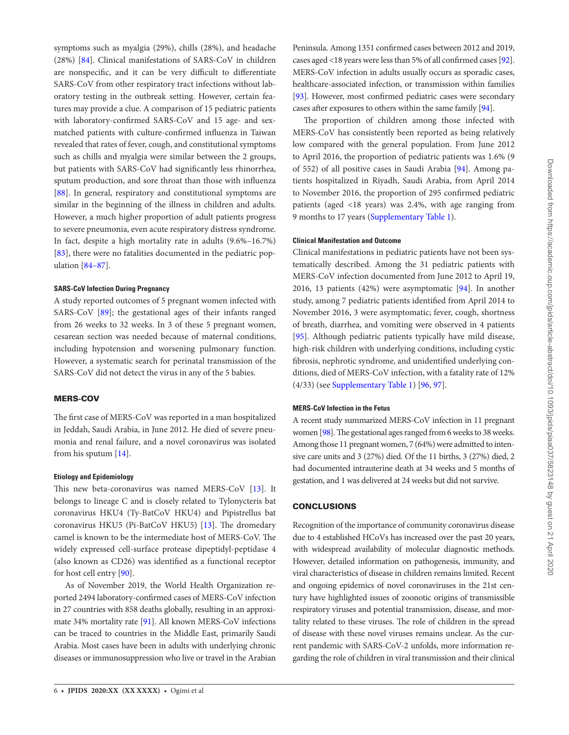symptoms such as myalgia (29%), chills (28%), and headache (28%) [\[84\]](#page-7-31). Clinical manifestations of SARS-CoV in children are nonspecific, and it can be very difficult to differentiate SARS-CoV from other respiratory tract infections without laboratory testing in the outbreak setting. However, certain features may provide a clue. A comparison of 15 pediatric patients with laboratory-confirmed SARS-CoV and 15 age- and sexmatched patients with culture-confirmed influenza in Taiwan revealed that rates of fever, cough, and constitutional symptoms such as chills and myalgia were similar between the 2 groups, but patients with SARS-CoV had significantly less rhinorrhea, sputum production, and sore throat than those with influenza [\[88](#page-7-32)]. In general, respiratory and constitutional symptoms are similar in the beginning of the illness in children and adults. However, a much higher proportion of adult patients progress to severe pneumonia, even acute respiratory distress syndrome. In fact, despite a high mortality rate in adults (9.6%–16.7%) [\[83](#page-7-30)], there were no fatalities documented in the pediatric population [84–87].

#### **SARS-CoV Infection During Pregnancy**

A study reported outcomes of 5 pregnant women infected with SARS-CoV [\[89](#page-7-33)]; the gestational ages of their infants ranged from 26 weeks to 32 weeks. In 3 of these 5 pregnant women, cesarean section was needed because of maternal conditions, including hypotension and worsening pulmonary function. However, a systematic search for perinatal transmission of the SARS-CoV did not detect the virus in any of the 5 babies.

## MERS-COV

The first case of MERS-CoV was reported in a man hospitalized in Jeddah, Saudi Arabia, in June 2012. He died of severe pneumonia and renal failure, and a novel coronavirus was isolated from his sputum [[14\]](#page-6-37).

## **Etiology and Epidemiology**

This new beta-coronavirus was named MERS-CoV [[13](#page-6-36)]. It belongs to lineage C and is closely related to Tylonycteris bat coronavirus HKU4 (Ty-BatCoV HKU4) and Pipistrellus bat coronavirus HKU5 (Pi-BatCoV HKU5) [\[13](#page-6-36)]. The dromedary camel is known to be the intermediate host of MERS-CoV. The widely expressed cell-surface protease dipeptidyl-peptidase 4 (also known as CD26) was identified as a functional receptor for host cell entry [\[90](#page-7-34)].

As of November 2019, the World Health Organization reported 2494 laboratory-confirmed cases of MERS-CoV infection in 27 countries with 858 deaths globally, resulting in an approximate 34% mortality rate [\[91](#page-7-35)]. All known MERS-CoV infections can be traced to countries in the Middle East, primarily Saudi Arabia. Most cases have been in adults with underlying chronic diseases or immunosuppression who live or travel in the Arabian

Peninsula. Among 1351 confirmed cases between 2012 and 2019, cases aged <18 years were less than 5% of all confirmed cases [[92\]](#page-7-36). MERS-CoV infection in adults usually occurs as sporadic cases, healthcare-associated infection, or transmission within families [\[93](#page-7-37)]. However, most confirmed pediatric cases were secondary cases after exposures to others within the same family [\[94](#page-7-38)].

The proportion of children among those infected with MERS-CoV has consistently been reported as being relatively low compared with the general population. From June 2012 to April 2016, the proportion of pediatric patients was 1.6% (9 of 552) of all positive cases in Saudi Arabia [[94\]](#page-7-38). Among patients hospitalized in Riyadh, Saudi Arabia, from April 2014 to November 2016, the proportion of 295 confirmed pediatric patients (aged <18 years) was 2.4%, with age ranging from 9 months to 17 years ([Supplementary Table 1](http://academic.oup.com/jpids/article-lookup/doi/10.1093/jpids/piaa037#supplementary-data)).

# **Clinical Manifestation and Outcome**

Clinical manifestations in pediatric patients have not been systematically described. Among the 31 pediatric patients with MERS-CoV infection documented from June 2012 to April 19, 2016, 13 patients (42%) were asymptomatic [\[94](#page-7-38)]. In another study, among 7 pediatric patients identified from April 2014 to November 2016, 3 were asymptomatic; fever, cough, shortness of breath, diarrhea, and vomiting were observed in 4 patients [\[95](#page-7-39)]. Although pediatric patients typically have mild disease, high-risk children with underlying conditions, including cystic fibrosis, nephrotic syndrome, and unidentified underlying conditions, died of MERS-CoV infection, with a fatality rate of 12% (4/33) (see [Supplementary Table 1](http://academic.oup.com/jpids/article-lookup/doi/10.1093/jpids/piaa037#supplementary-data)) [\[96](#page-7-40), [97\]](#page-7-41).

## **MERS-CoV Infection in the Fetus**

A recent study summarized MERS-CoV infection in 11 pregnant women [\[98\]](#page-7-42). The gestational ages ranged from 6 weeks to 38 weeks. Among those 11 pregnant women, 7 (64%) were admitted to intensive care units and 3 (27%) died. Of the 11 births, 3 (27%) died, 2 had documented intrauterine death at 34 weeks and 5 months of gestation, and 1 was delivered at 24 weeks but did not survive.

# CONCLUSIONS

Recognition of the importance of community coronavirus disease due to 4 established HCoVs has increased over the past 20 years, with widespread availability of molecular diagnostic methods. However, detailed information on pathogenesis, immunity, and viral characteristics of disease in children remains limited. Recent and ongoing epidemics of novel coronaviruses in the 21st century have highlighted issues of zoonotic origins of transmissible respiratory viruses and potential transmission, disease, and mortality related to these viruses. The role of children in the spread of disease with these novel viruses remains unclear. As the current pandemic with SARS-CoV-2 unfolds, more information regarding the role of children in viral transmission and their clinical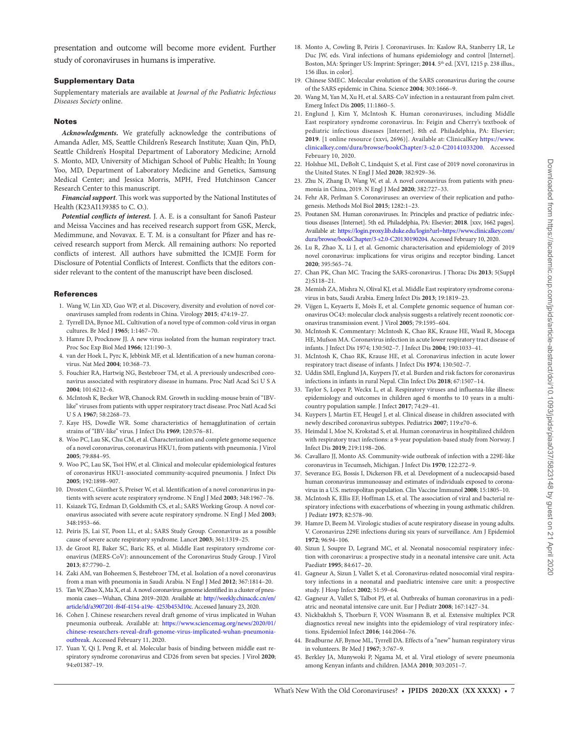presentation and outcome will become more evident. Further study of coronaviruses in humans is imperative.

### Supplementary Data

Supplementary materials are available at *Journal of the Pediatric Infectious Diseases Society* online.

#### Notes

*Acknowledgments.* We gratefully acknowledge the contributions of Amanda Adler, MS, Seattle Children's Research Institute; Xuan Qin, PhD, Seattle Children's Hospital Department of Laboratory Medicine; Arnold S. Monto, MD, University of Michigan School of Public Health; In Young Yoo, MD, Department of Laboratory Medicine and Genetics, Samsung Medical Center; and Jessica Morris, MPH, Fred Hutchinson Cancer Research Center to this manuscript.

*Financial support*. This work was supported by the National Institutes of Health (K23AI139385 to C. O.).

*Potential conflicts of interest.* J. A. E. is a consultant for Sanofi Pasteur and Meissa Vaccines and has received research support from GSK, Merck, Medimmune, and Novavax. E. T. M. is a consultant for Pfizer and has received research support from Merck. All remaining authors: No reported conflicts of interest. All authors have submitted the ICMJE Form for Disclosure of Potential Conflicts of Interest. Conflicts that the editors consider relevant to the content of the manuscript have been disclosed.

#### **References**

- <span id="page-6-0"></span>1. Wang W, Lin XD, Guo WP, et al. Discovery, diversity and evolution of novel coronaviruses sampled from rodents in China. Virology **2015**; 474:19–27.
- <span id="page-6-20"></span>2. Tyrrell DA, Bynoe ML. Cultivation of a novel type of common-cold virus in organ cultures. Br Med J **1965**; 1:1467–70.
- <span id="page-6-21"></span>3. Hamre D, Procknow JJ. A new virus isolated from the human respiratory tract. Proc Soc Exp Biol Med **1966**; 121:190–3.
- <span id="page-6-23"></span>4. van der Hoek L, Pyrc K, Jebbink MF, et al. Identification of a new human coronavirus. Nat Med **2004**; 10:368–73.
- <span id="page-6-24"></span>5. Fouchier RA, Hartwig NG, Bestebroer TM, et al. A previously undescribed coronavirus associated with respiratory disease in humans. Proc Natl Acad Sci U S A **2004**; 101:6212–6.
- <span id="page-6-25"></span>6. McIntosh K, Becker WB, Chanock RM. Growth in suckling-mouse brain of "IBVlike" viruses from patients with upper respiratory tract disease. Proc Natl Acad Sci U S A **1967**; 58:2268–73.
- <span id="page-6-26"></span>7. Kaye HS, Dowdle WR. Some characteristics of hemagglutination of certain strains of "IBV-like" virus. J Infect Dis **1969**; 120:576–81.
- <span id="page-6-27"></span>8. Woo PC, Lau SK, Chu CM, et al. Characterization and complete genome sequence of a novel coronavirus, coronavirus HKU1, from patients with pneumonia. J Virol **2005**; 79:884–95.
- <span id="page-6-28"></span>9. Woo PC, Lau SK, Tsoi HW, et al. Clinical and molecular epidemiological features of coronavirus HKU1-associated community-acquired pneumonia. J Infect Dis **2005**; 192:1898–907.
- <span id="page-6-29"></span>10. Drosten C, Günther S, Preiser W, et al. Identification of a novel coronavirus in patients with severe acute respiratory syndrome. N Engl J Med **2003**; 348:1967–76.
- <span id="page-6-30"></span>11. Ksiazek TG, Erdman D, Goldsmith CS, et al.; SARS Working Group. A novel coronavirus associated with severe acute respiratory syndrome. N Engl J Med **2003**; 348:1953–66.
- <span id="page-6-31"></span>12. Peiris JS, Lai ST, Poon LL, et al.; SARS Study Group. Coronavirus as a possible cause of severe acute respiratory syndrome. Lancet **2003**; 361:1319–25.
- <span id="page-6-36"></span>13. de Groot RJ, Baker SC, Baric RS, et al. Middle East respiratory syndrome coronavirus (MERS-CoV): announcement of the Coronavirus Study Group. J Virol **2013**; 87:7790–2.
- <span id="page-6-37"></span>14. Zaki AM, van Boheemen S, Bestebroer TM, et al. Isolation of a novel coronavirus from a man with pneumonia in Saudi Arabia. N Engl J Med **2012**; 367:1814–20.
- <span id="page-6-34"></span>15. Tan W, Zhao X, Ma X, et al. A novel coronavirus genome identified in a cluster of pneumonia cases—Wuhan, China 2019–2020. Available at: [http://weekly.chinacdc.cn/en/](http://weekly.chinacdc.cn/en/article/id/a3907201-f64f-4154-a19e- 4253b453d10c) [article/id/a3907201-f64f-4154-a19e- 4253b453d10c](http://weekly.chinacdc.cn/en/article/id/a3907201-f64f-4154-a19e- 4253b453d10c). Accessed January 23, 2020.
- <span id="page-6-35"></span>16. Cohen J. Chinese researchers reveal draft genome of virus implicated in Wuhan pneumonia outbreak. Available at: [https://www.sciencemag.org/news/2020/01/](https://www.sciencemag.org/news/2020/01/chinese-researchers-reveal-draft-genome-virus-implicated-wuhan-pneumonia-outbreak) [chinese-researchers-reveal-draft-genome-virus-implicated-wuhan-pneumonia](https://www.sciencemag.org/news/2020/01/chinese-researchers-reveal-draft-genome-virus-implicated-wuhan-pneumonia-outbreak)[outbreak](https://www.sciencemag.org/news/2020/01/chinese-researchers-reveal-draft-genome-virus-implicated-wuhan-pneumonia-outbreak). Accessed February 11, 2020.
- <span id="page-6-38"></span>17. Yuan Y, Qi J, Peng R, et al. Molecular basis of binding between middle east respiratory syndrome coronavirus and CD26 from seven bat species. J Virol **2020**; 94:e01387–19.
- <span id="page-6-22"></span>18. Monto A, Cowling B, Peiris J. Coronaviruses. In: Kaslow RA, Stanberry LR, Le Duc JW, eds. Viral infections of humans epidemiology and control [Internet]. Boston, MA: Springer US: Imprint: Springer; **2014**. 5th ed. [XVI, 1215 p. 238 illus., 156 illus. in color].
- <span id="page-6-32"></span>19. Chinese SMEC. Molecular evolution of the SARS coronavirus during the course of the SARS epidemic in China. Science **2004**; 303:1666–9.
- <span id="page-6-33"></span>20. Wang M, Yan M, Xu H, et al. SARS-CoV infection in a restaurant from palm civet. Emerg Infect Dis **2005**; 11:1860–5.
- <span id="page-6-1"></span>21. Englund J, Kim Y, McIntosh K. Human coronaviruses, including Middle East respiratory syndrome coronavirus. In: Feigin and Cherry's textbook of pediatric infectious diseases [Internet]. 8th ed. Philadelphia, PA: Elsevier; **2019**. [1 online resource (xxvi, 2696)]. Available at: ClinicalKey [https://www.](https://www.clinicalkey.com/dura/browse/bookChapter/3-s2.0-C20141033200) [clinicalkey.com/dura/browse/bookChapter/3-s2.0-C20141033200.](https://www.clinicalkey.com/dura/browse/bookChapter/3-s2.0-C20141033200) Accessed February 10, 2020.
- <span id="page-6-2"></span>22. Holshue ML, DeBolt C, Lindquist S, et al. First case of 2019 novel coronavirus in the United States. N Engl J Med **2020**; 382:929–36.
- <span id="page-6-3"></span>23. Zhu N, Zhang D, Wang W, et al. A novel coronavirus from patients with pneumonia in China, 2019. N Engl J Med **2020**; 382:727–33.
- <span id="page-6-4"></span>24. Fehr AR, Perlman S. Coronaviruses: an overview of their replication and pathogenesis. Methods Mol Biol **2015**; 1282:1–23.
- <span id="page-6-5"></span>25. Poutanen SM. Human coronaviruses. In: Principles and practice of pediatric infectious diseases [Internet]. 5th ed. Philadelphia, PA: Elsevier; **2018**. [xxv, 1662 pages]. Available at: [https://login.proxy.lib.duke.edu/login?url=https://www.clinicalkey.com/](https://login.proxy.lib.duke.edu/login?url=https://www.clinicalkey.com/dura/browse/bookChapter/3-s2.0-C20130190204) [dura/browse/bookChapter/3-s2.0-C20130190204.](https://login.proxy.lib.duke.edu/login?url=https://www.clinicalkey.com/dura/browse/bookChapter/3-s2.0-C20130190204) Accessed February 10, 2020.
- <span id="page-6-6"></span>26. Lu R, Zhao X, Li J, et al. Genomic characterisation and epidemiology of 2019 novel coronavirus: implications for virus origins and receptor binding. Lancet **2020**; 395:565–74.
- <span id="page-6-7"></span>27. Chan PK, Chan MC. Tracing the SARS-coronavirus. J Thorac Dis **2013**; 5(Suppl 2):S118–21.
- <span id="page-6-8"></span>28. Memish ZA, Mishra N, Olival KJ, et al. Middle East respiratory syndrome coronavirus in bats, Saudi Arabia. Emerg Infect Dis **2013**; 19:1819–23.
- <span id="page-6-9"></span>29. Vijgen L, Keyaerts E, Moës E, et al. Complete genomic sequence of human coronavirus OC43: molecular clock analysis suggests a relatively recent zoonotic coronavirus transmission event. J Virol **2005**; 79:1595–604.
- <span id="page-6-10"></span>30. McIntosh K. Commentary: McIntosh K, Chao RK, Krause HE, Wasil R, Mocega HE, Mufson MA. Coronavirus infection in acute lower respiratory tract disease of infants. J Infect Dis 1974; 130:502–7. J Infect Dis **2004**; 190:1033–41.
- <span id="page-6-11"></span>31. McIntosh K, Chao RK, Krause HE, et al. Coronavirus infection in acute lower respiratory tract disease of infants. J Infect Dis **1974**; 130:502–7.
- <span id="page-6-12"></span>32. Uddin SMI, Englund JA, Kuypers JY, et al. Burden and risk factors for coronavirus infections in infants in rural Nepal. Clin Infect Dis **2018**; 67:1507–14.
- <span id="page-6-13"></span>33. Taylor S, Lopez P, Weckx L, et al. Respiratory viruses and influenza-like illness: epidemiology and outcomes in children aged 6 months to 10 years in a multicountry population sample. J Infect **2017**; 74:29–41.
- <span id="page-6-14"></span>34. Kuypers J, Martin ET, Heugel J, et al. Clinical disease in children associated with newly described coronavirus subtypes. Pediatrics **2007**; 119:e70–6.
- <span id="page-6-15"></span>35. Heimdal I, Moe N, Krokstad S, et al. Human coronavirus in hospitalized children with respiratory tract infections: a 9-year population-based study from Norway. J Infect Dis **2019**; 219:1198–206.
- <span id="page-6-16"></span>36. Cavallaro JJ, Monto AS. Community-wide outbreak of infection with a 229E-like coronavirus in Tecumseh, Michigan. J Infect Dis **1970**; 122:272–9.
- <span id="page-6-17"></span>37. Severance EG, Bossis I, Dickerson FB, et al. Development of a nucleocapsid-based human coronavirus immunoassay and estimates of individuals exposed to coronavirus in a U.S. metropolitan population. Clin Vaccine Immunol **2008**; 15:1805–10.
- <span id="page-6-42"></span>38. McIntosh K, Ellis EF, Hoffman LS, et al. The association of viral and bacterial respiratory infections with exacerbations of wheezing in young asthmatic children. J Pediatr **1973**; 82:578–90.
- <span id="page-6-41"></span>39. Hamre D, Beem M. Virologic studies of acute respiratory disease in young adults. V. Coronavirus 229E infections during six years of surveillance. Am J Epidemiol **1972**; 96:94–106.
- 40. Sizun J, Soupre D, Legrand MC, et al. Neonatal nosocomial respiratory infection with coronavirus: a prospective study in a neonatal intensive care unit. Acta Paediatr **1995**; 84:617–20.
- 41. Gagneur A, Sizun J, Vallet S, et al. Coronavirus-related nosocomial viral respiratory infections in a neonatal and paediatric intensive care unit: a prospective study. J Hosp Infect **2002**; 51:59–64.
- <span id="page-6-18"></span>42. Gagneur A, Vallet S, Talbot PJ, et al. Outbreaks of human coronavirus in a pediatric and neonatal intensive care unit. Eur J Pediatr **2008**; 167:1427–34.
- <span id="page-6-19"></span>43. Nickbakhsh S, Thorburn F, VON Wissmann B, et al. Extensive multiplex PCR diagnostics reveal new insights into the epidemiology of viral respiratory infections. Epidemiol Infect **2016**; 144:2064–76.
- <span id="page-6-39"></span>44. Bradburne AF, Bynoe ML, Tyrrell DA. Effects of a "new" human respiratory virus in volunteers. Br Med J **1967**; 3:767–9.
- <span id="page-6-40"></span>45. Berkley JA, Munywoki P, Ngama M, et al. Viral etiology of severe pneumonia among Kenyan infants and children. JAMA **2010**; 303:2051–7.